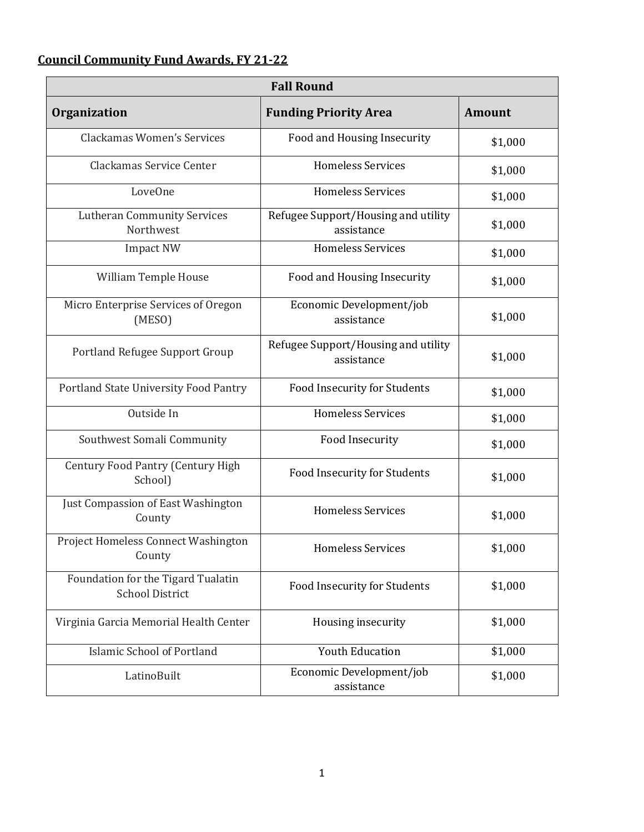## **Council Community Fund Awards, FY 21-22**

| <b>Fall Round</b>                                            |                                                   |               |  |
|--------------------------------------------------------------|---------------------------------------------------|---------------|--|
| <b>Organization</b>                                          | <b>Funding Priority Area</b>                      | <b>Amount</b> |  |
| Clackamas Women's Services                                   | Food and Housing Insecurity                       | \$1,000       |  |
| Clackamas Service Center                                     | <b>Homeless Services</b>                          | \$1,000       |  |
| LoveOne                                                      | <b>Homeless Services</b>                          | \$1,000       |  |
| <b>Lutheran Community Services</b><br>Northwest              | Refugee Support/Housing and utility<br>assistance | \$1,000       |  |
| <b>Impact NW</b>                                             | <b>Homeless Services</b>                          | \$1,000       |  |
| William Temple House                                         | Food and Housing Insecurity                       | \$1,000       |  |
| Micro Enterprise Services of Oregon<br>(MESO)                | Economic Development/job<br>assistance            | \$1,000       |  |
| Portland Refugee Support Group                               | Refugee Support/Housing and utility<br>assistance | \$1,000       |  |
| Portland State University Food Pantry                        | Food Insecurity for Students                      | \$1,000       |  |
| Outside In                                                   | <b>Homeless Services</b>                          | \$1,000       |  |
| Southwest Somali Community                                   | Food Insecurity                                   | \$1,000       |  |
| Century Food Pantry (Century High<br>School)                 | Food Insecurity for Students                      | \$1,000       |  |
| Just Compassion of East Washington<br>County                 | <b>Homeless Services</b>                          | \$1,000       |  |
| Project Homeless Connect Washington<br>County                | <b>Homeless Services</b>                          | \$1,000       |  |
| Foundation for the Tigard Tualatin<br><b>School District</b> | Food Insecurity for Students                      | \$1,000       |  |
| Virginia Garcia Memorial Health Center                       | Housing insecurity                                | \$1,000       |  |
| <b>Islamic School of Portland</b>                            | <b>Youth Education</b>                            | \$1,000       |  |
| LatinoBuilt                                                  | Economic Development/job<br>assistance            | \$1,000       |  |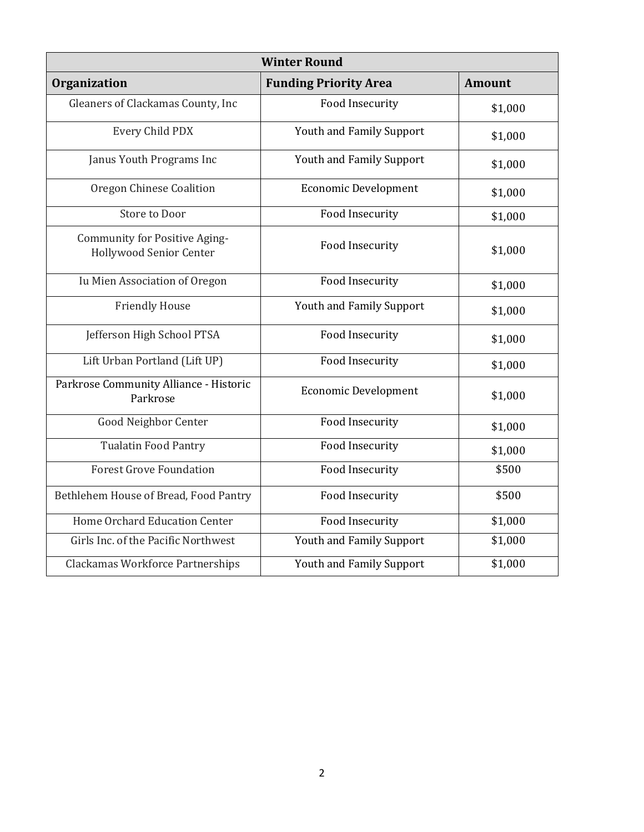| <b>Winter Round</b>                                             |                              |               |  |
|-----------------------------------------------------------------|------------------------------|---------------|--|
| <b>Organization</b>                                             | <b>Funding Priority Area</b> | <b>Amount</b> |  |
| Gleaners of Clackamas County, Inc                               | Food Insecurity              | \$1,000       |  |
| Every Child PDX                                                 | Youth and Family Support     | \$1,000       |  |
| Janus Youth Programs Inc                                        | Youth and Family Support     | \$1,000       |  |
| Oregon Chinese Coalition                                        | <b>Economic Development</b>  | \$1,000       |  |
| Store to Door                                                   | Food Insecurity              | \$1,000       |  |
| <b>Community for Positive Aging-</b><br>Hollywood Senior Center | <b>Food Insecurity</b>       | \$1,000       |  |
| Iu Mien Association of Oregon                                   | Food Insecurity              | \$1,000       |  |
| <b>Friendly House</b>                                           | Youth and Family Support     | \$1,000       |  |
| Jefferson High School PTSA                                      | Food Insecurity              | \$1,000       |  |
| Lift Urban Portland (Lift UP)                                   | Food Insecurity              | \$1,000       |  |
| Parkrose Community Alliance - Historic<br>Parkrose              | <b>Economic Development</b>  | \$1,000       |  |
| <b>Good Neighbor Center</b>                                     | Food Insecurity              | \$1,000       |  |
| <b>Tualatin Food Pantry</b>                                     | <b>Food Insecurity</b>       | \$1,000       |  |
| <b>Forest Grove Foundation</b>                                  | <b>Food Insecurity</b>       | \$500         |  |
| Bethlehem House of Bread, Food Pantry                           | Food Insecurity              | \$500         |  |
| Home Orchard Education Center                                   | <b>Food Insecurity</b>       | \$1,000       |  |
| Girls Inc. of the Pacific Northwest                             | Youth and Family Support     | \$1,000       |  |
| Clackamas Workforce Partnerships                                | Youth and Family Support     | \$1,000       |  |